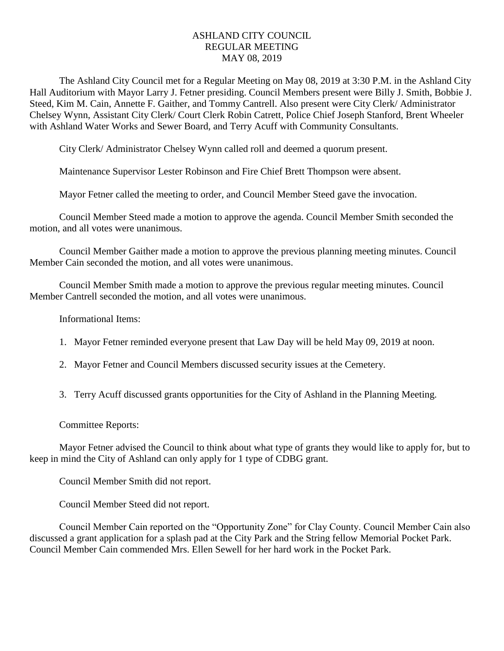## ASHLAND CITY COUNCIL REGULAR MEETING MAY 08, 2019

The Ashland City Council met for a Regular Meeting on May 08, 2019 at 3:30 P.M. in the Ashland City Hall Auditorium with Mayor Larry J. Fetner presiding. Council Members present were Billy J. Smith, Bobbie J. Steed, Kim M. Cain, Annette F. Gaither, and Tommy Cantrell. Also present were City Clerk/ Administrator Chelsey Wynn, Assistant City Clerk/ Court Clerk Robin Catrett, Police Chief Joseph Stanford, Brent Wheeler with Ashland Water Works and Sewer Board, and Terry Acuff with Community Consultants.

City Clerk/ Administrator Chelsey Wynn called roll and deemed a quorum present.

Maintenance Supervisor Lester Robinson and Fire Chief Brett Thompson were absent.

Mayor Fetner called the meeting to order, and Council Member Steed gave the invocation.

Council Member Steed made a motion to approve the agenda. Council Member Smith seconded the motion, and all votes were unanimous.

Council Member Gaither made a motion to approve the previous planning meeting minutes. Council Member Cain seconded the motion, and all votes were unanimous.

Council Member Smith made a motion to approve the previous regular meeting minutes. Council Member Cantrell seconded the motion, and all votes were unanimous.

Informational Items:

- 1. Mayor Fetner reminded everyone present that Law Day will be held May 09, 2019 at noon.
- 2. Mayor Fetner and Council Members discussed security issues at the Cemetery.
- 3. Terry Acuff discussed grants opportunities for the City of Ashland in the Planning Meeting.

## Committee Reports:

Mayor Fetner advised the Council to think about what type of grants they would like to apply for, but to keep in mind the City of Ashland can only apply for 1 type of CDBG grant.

Council Member Smith did not report.

Council Member Steed did not report.

Council Member Cain reported on the "Opportunity Zone" for Clay County. Council Member Cain also discussed a grant application for a splash pad at the City Park and the String fellow Memorial Pocket Park. Council Member Cain commended Mrs. Ellen Sewell for her hard work in the Pocket Park.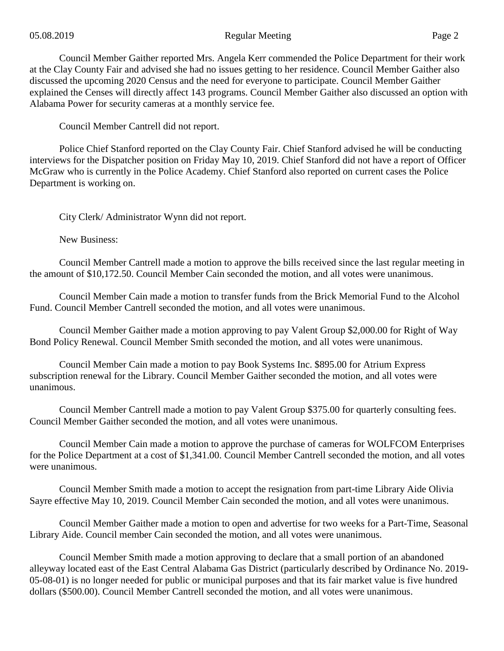## 05.08.2019 Regular Meeting Page 2

Council Member Gaither reported Mrs. Angela Kerr commended the Police Department for their work at the Clay County Fair and advised she had no issues getting to her residence. Council Member Gaither also discussed the upcoming 2020 Census and the need for everyone to participate. Council Member Gaither explained the Censes will directly affect 143 programs. Council Member Gaither also discussed an option with Alabama Power for security cameras at a monthly service fee.

Council Member Cantrell did not report.

Police Chief Stanford reported on the Clay County Fair. Chief Stanford advised he will be conducting interviews for the Dispatcher position on Friday May 10, 2019. Chief Stanford did not have a report of Officer McGraw who is currently in the Police Academy. Chief Stanford also reported on current cases the Police Department is working on.

City Clerk/ Administrator Wynn did not report.

New Business:

Council Member Cantrell made a motion to approve the bills received since the last regular meeting in the amount of \$10,172.50. Council Member Cain seconded the motion, and all votes were unanimous.

Council Member Cain made a motion to transfer funds from the Brick Memorial Fund to the Alcohol Fund. Council Member Cantrell seconded the motion, and all votes were unanimous.

Council Member Gaither made a motion approving to pay Valent Group \$2,000.00 for Right of Way Bond Policy Renewal. Council Member Smith seconded the motion, and all votes were unanimous.

Council Member Cain made a motion to pay Book Systems Inc. \$895.00 for Atrium Express subscription renewal for the Library. Council Member Gaither seconded the motion, and all votes were unanimous.

Council Member Cantrell made a motion to pay Valent Group \$375.00 for quarterly consulting fees. Council Member Gaither seconded the motion, and all votes were unanimous.

Council Member Cain made a motion to approve the purchase of cameras for WOLFCOM Enterprises for the Police Department at a cost of \$1,341.00. Council Member Cantrell seconded the motion, and all votes were unanimous.

Council Member Smith made a motion to accept the resignation from part-time Library Aide Olivia Sayre effective May 10, 2019. Council Member Cain seconded the motion, and all votes were unanimous.

Council Member Gaither made a motion to open and advertise for two weeks for a Part-Time, Seasonal Library Aide. Council member Cain seconded the motion, and all votes were unanimous.

Council Member Smith made a motion approving to declare that a small portion of an abandoned alleyway located east of the East Central Alabama Gas District (particularly described by Ordinance No. 2019- 05-08-01) is no longer needed for public or municipal purposes and that its fair market value is five hundred dollars (\$500.00). Council Member Cantrell seconded the motion, and all votes were unanimous.